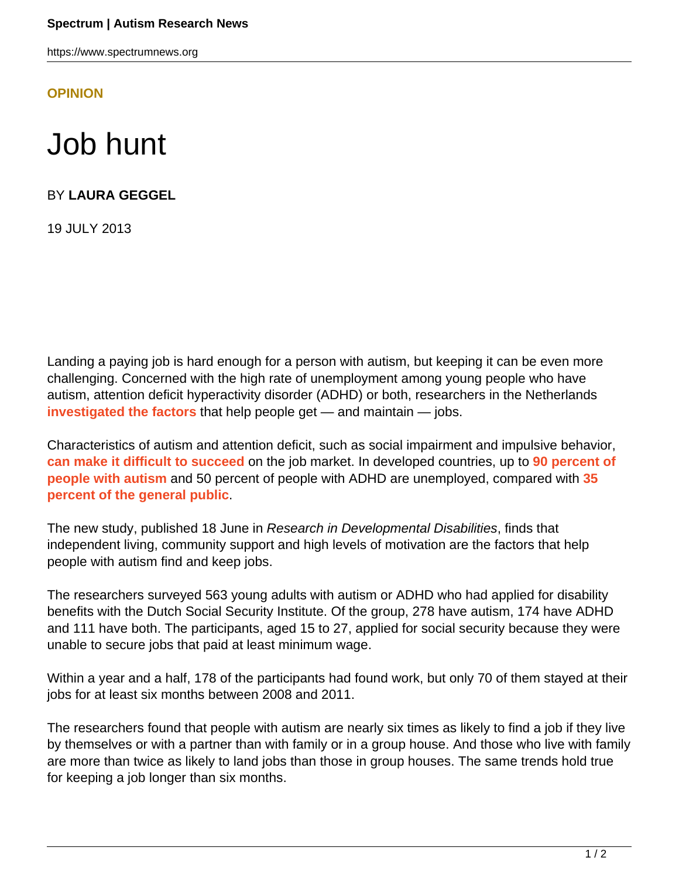https://www.spectrumnews.org

**[OPINION](HTTPS://WWW.SPECTRUMNEWS.ORG/OPINION/)**

## Job hunt

BY **LAURA GEGGEL**

19 JULY 2013

Landing a paying job is hard enough for a person with autism, but keeping it can be even more challenging. Concerned with the high rate of unemployment among young people who have autism, attention deficit hyperactivity disorder (ADHD) or both, researchers in the Netherlands **[investigated the factors](http://ncbi.nlm.nih.gov/pubmed/23792372)** that help people get — and maintain — jobs.

Characteristics of autism and attention deficit, such as social impairment and impulsive behavior, **[can make it difficult to succeed](https://www.spectrumnews.org/blog/2010/working-with-autism)** on the job market. In developed countries, up to **[90 percent of](https://www.spectrumnews.org/news/2011/people-with-milder-forms-of-autism-struggle-as-adults) [people with autism](https://www.spectrumnews.org/news/2011/people-with-milder-forms-of-autism-struggle-as-adults)** and 50 percent of people with ADHD are unemployed, compared with **[35](http://ncbi.nlm.nih.gov/pubmed/22495411) [percent of the general public](http://ncbi.nlm.nih.gov/pubmed/22495411)**.

The new study, published 18 June in Research in Developmental Disabilities, finds that independent living, community support and high levels of motivation are the factors that help people with autism find and keep jobs.

The researchers surveyed 563 young adults with autism or ADHD who had applied for disability benefits with the Dutch Social Security Institute. Of the group, 278 have autism, 174 have ADHD and 111 have both. The participants, aged 15 to 27, applied for social security because they were unable to secure jobs that paid at least minimum wage.

Within a year and a half, 178 of the participants had found work, but only 70 of them stayed at their jobs for at least six months between 2008 and 2011.

The researchers found that people with autism are nearly six times as likely to find a job if they live by themselves or with a partner than with family or in a group house. And those who live with family are more than twice as likely to land jobs than those in group houses. The same trends hold true for keeping a job longer than six months.